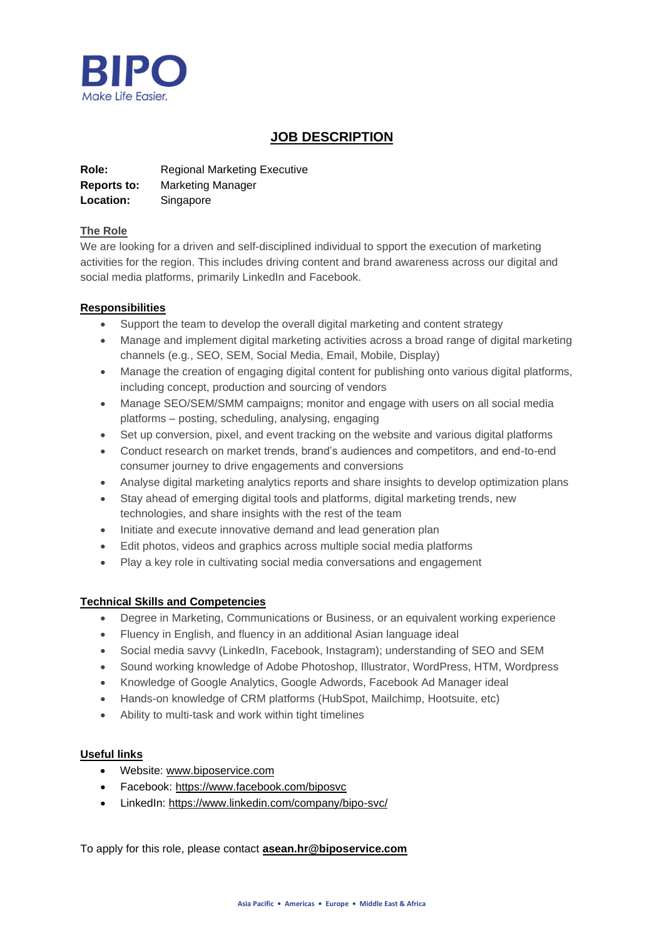

# **JOB DESCRIPTION**

**Role:** Regional Marketing Executive **Reports to:** Marketing Manager **Location:** Singapore

## **The Role**

We are looking for a driven and self-disciplined individual to spport the execution of marketing activities for the region. This includes driving content and brand awareness across our digital and social media platforms, primarily LinkedIn and Facebook.

## **Responsibilities**

- Support the team to develop the overall digital marketing and content strategy
- Manage and implement digital marketing activities across a broad range of digital marketing channels (e.g., SEO, SEM, Social Media, Email, Mobile, Display)
- Manage the creation of engaging digital content for publishing onto various digital platforms, including concept, production and sourcing of vendors
- Manage SEO/SEM/SMM campaigns; monitor and engage with users on all social media platforms – posting, scheduling, analysing, engaging
- Set up conversion, pixel, and event tracking on the website and various digital platforms
- Conduct research on market trends, brand's audiences and competitors, and end-to-end consumer journey to drive engagements and conversions
- Analyse digital marketing analytics reports and share insights to develop optimization plans
- Stay ahead of emerging digital tools and platforms, digital marketing trends, new technologies, and share insights with the rest of the team
- Initiate and execute innovative demand and lead generation plan
- Edit photos, videos and graphics across multiple social media platforms
- Play a key role in cultivating social media conversations and engagement

# **Technical Skills and Competencies**

- Degree in Marketing, Communications or Business, or an equivalent working experience
- Fluency in English, and fluency in an additional Asian language ideal
- Social media savvy (LinkedIn, Facebook, Instagram); understanding of SEO and SEM
- Sound working knowledge of Adobe Photoshop, Illustrator, WordPress, HTM, Wordpress
- Knowledge of Google Analytics, Google Adwords, Facebook Ad Manager ideal
- Hands-on knowledge of CRM platforms (HubSpot, Mailchimp, Hootsuite, etc)
- Ability to multi-task and work within tight timelines

### **Useful links**

- Website: [www.biposervice.com](http://www.biposervice.com/)
- Facebook: <https://www.facebook.com/biposvc>
- LinkedIn: <https://www.linkedin.com/company/bipo-svc/>

To apply for this role, please contact **[asean.hr@biposervice.com](mailto:asean.hr@biposervice.com)**